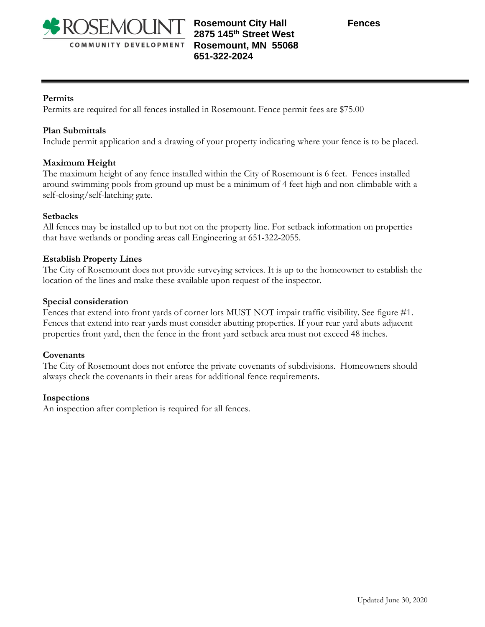

# **Rosemount City Hall Fences 2875 145th Street West Rosemount, MN 55068 651-322-2024**

# **Permits**

Permits are required for all fences installed in Rosemount. Fence permit fees are \$75.00

## **Plan Submittals**

Include permit application and a drawing of your property indicating where your fence is to be placed.

## **Maximum Height**

The maximum height of any fence installed within the City of Rosemount is 6 feet. Fences installed around swimming pools from ground up must be a minimum of 4 feet high and non-climbable with a self-closing/self-latching gate.

#### **Setbacks**

All fences may be installed up to but not on the property line. For setback information on properties that have wetlands or ponding areas call Engineering at 651-322-2055.

#### **Establish Property Lines**

The City of Rosemount does not provide surveying services. It is up to the homeowner to establish the location of the lines and make these available upon request of the inspector.

#### **Special consideration**

Fences that extend into front yards of corner lots MUST NOT impair traffic visibility. See figure #1. Fences that extend into rear yards must consider abutting properties. If your rear yard abuts adjacent properties front yard, then the fence in the front yard setback area must not exceed 48 inches.

#### **Covenants**

The City of Rosemount does not enforce the private covenants of subdivisions. Homeowners should always check the covenants in their areas for additional fence requirements.

#### **Inspections**

An inspection after completion is required for all fences.